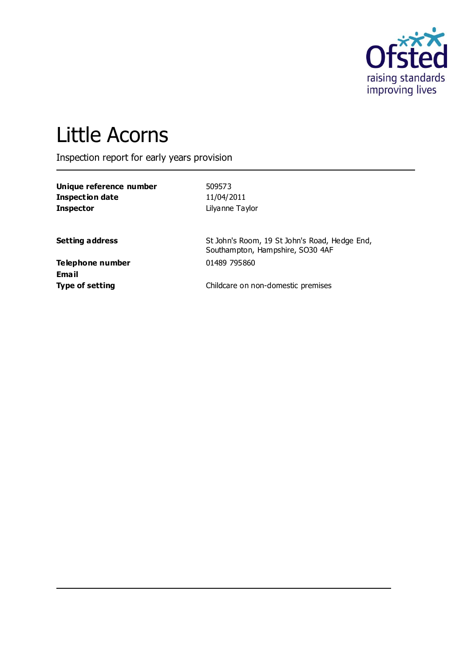

# Little Acorns

Inspection report for early years provision

| Unique reference number | 509573          |
|-------------------------|-----------------|
| Inspection date         | 11/04/2011      |
| <b>Inspector</b>        | Lilyanne Taylor |

**Setting address** St John's Room, 19 St John's Road, Hedge End, Southampton, Hampshire, SO30 4AF

**Telephone number** 01489 795860 **Email**

**Type of setting Childcare on non-domestic premises**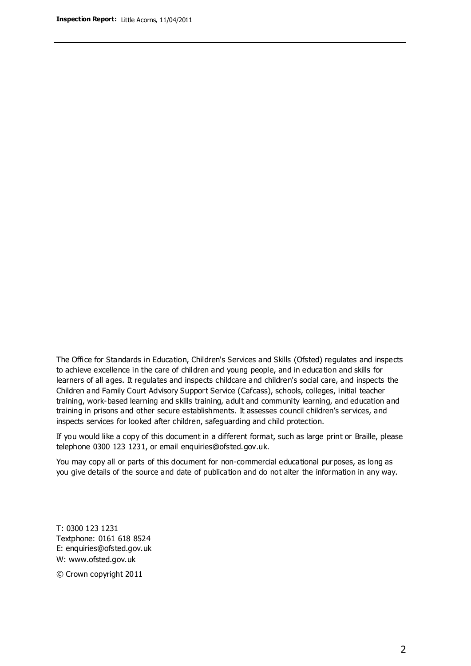The Office for Standards in Education, Children's Services and Skills (Ofsted) regulates and inspects to achieve excellence in the care of children and young people, and in education and skills for learners of all ages. It regulates and inspects childcare and children's social care, and inspects the Children and Family Court Advisory Support Service (Cafcass), schools, colleges, initial teacher training, work-based learning and skills training, adult and community learning, and education and training in prisons and other secure establishments. It assesses council children's services, and inspects services for looked after children, safeguarding and child protection.

If you would like a copy of this document in a different format, such as large print or Braille, please telephone 0300 123 1231, or email enquiries@ofsted.gov.uk.

You may copy all or parts of this document for non-commercial educational purposes, as long as you give details of the source and date of publication and do not alter the information in any way.

T: 0300 123 1231 Textphone: 0161 618 8524 E: enquiries@ofsted.gov.uk W: [www.ofsted.gov.uk](http://www.ofsted.gov.uk/)

© Crown copyright 2011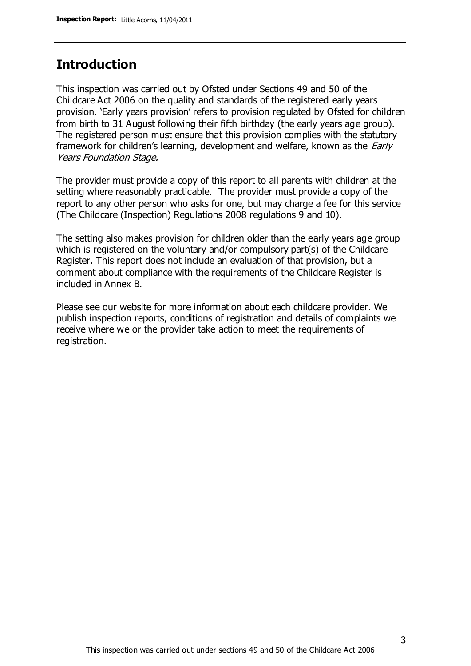## **Introduction**

This inspection was carried out by Ofsted under Sections 49 and 50 of the Childcare Act 2006 on the quality and standards of the registered early years provision. 'Early years provision' refers to provision regulated by Ofsted for children from birth to 31 August following their fifth birthday (the early years age group). The registered person must ensure that this provision complies with the statutory framework for children's learning, development and welfare, known as the *Early* Years Foundation Stage.

The provider must provide a copy of this report to all parents with children at the setting where reasonably practicable. The provider must provide a copy of the report to any other person who asks for one, but may charge a fee for this service (The Childcare (Inspection) Regulations 2008 regulations 9 and 10).

The setting also makes provision for children older than the early years age group which is registered on the voluntary and/or compulsory part(s) of the Childcare Register. This report does not include an evaluation of that provision, but a comment about compliance with the requirements of the Childcare Register is included in Annex B.

Please see our website for more information about each childcare provider. We publish inspection reports, conditions of registration and details of complaints we receive where we or the provider take action to meet the requirements of registration.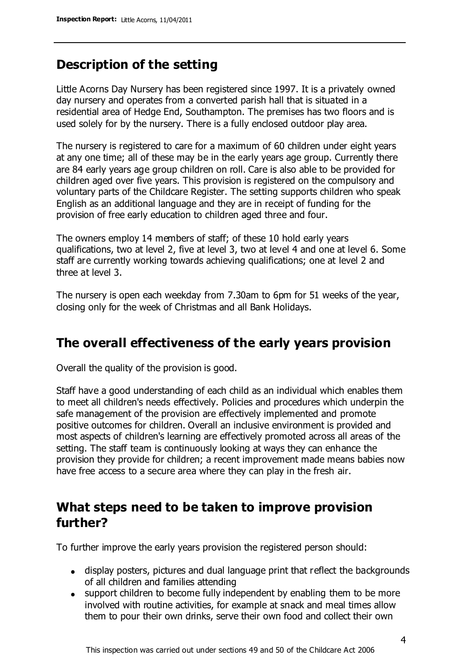## **Description of the setting**

Little Acorns Day Nursery has been registered since 1997. It is a privately owned day nursery and operates from a converted parish hall that is situated in a residential area of Hedge End, Southampton. The premises has two floors and is used solely for by the nursery. There is a fully enclosed outdoor play area.

The nursery is registered to care for a maximum of 60 children under eight years at any one time; all of these may be in the early years age group. Currently there are 84 early years age group children on roll. Care is also able to be provided for children aged over five years. This provision is registered on the compulsory and voluntary parts of the Childcare Register. The setting supports children who speak English as an additional language and they are in receipt of funding for the provision of free early education to children aged three and four.

The owners employ 14 members of staff; of these 10 hold early years qualifications, two at level 2, five at level 3, two at level 4 and one at level 6. Some staff are currently working towards achieving qualifications; one at level 2 and three at level 3.

The nursery is open each weekday from 7.30am to 6pm for 51 weeks of the year, closing only for the week of Christmas and all Bank Holidays.

## **The overall effectiveness of the early years provision**

Overall the quality of the provision is good.

Staff have a good understanding of each child as an individual which enables them to meet all children's needs effectively. Policies and procedures which underpin the safe management of the provision are effectively implemented and promote positive outcomes for children. Overall an inclusive environment is provided and most aspects of children's learning are effectively promoted across all areas of the setting. The staff team is continuously looking at ways they can enhance the provision they provide for children; a recent improvement made means babies now have free access to a secure area where they can play in the fresh air.

## **What steps need to be taken to improve provision further?**

To further improve the early years provision the registered person should:

- display posters, pictures and dual language print that reflect the backgrounds of all children and families attending
- support children to become fully independent by enabling them to be more involved with routine activities, for example at snack and meal times allow them to pour their own drinks, serve their own food and collect their own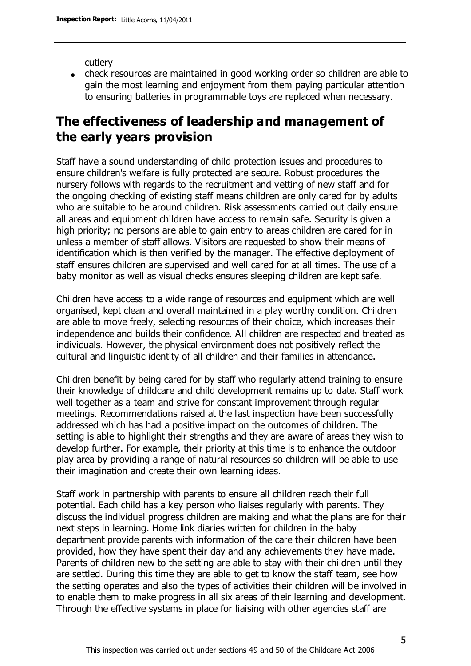cutlery

check resources are maintained in good working order so children are able to gain the most learning and enjoyment from them paying particular attention to ensuring batteries in programmable toys are replaced when necessary.

# **The effectiveness of leadership and management of the early years provision**

Staff have a sound understanding of child protection issues and procedures to ensure children's welfare is fully protected are secure. Robust procedures the nursery follows with regards to the recruitment and vetting of new staff and for the ongoing checking of existing staff means children are only cared for by adults who are suitable to be around children. Risk assessments carried out daily ensure all areas and equipment children have access to remain safe. Security is given a high priority; no persons are able to gain entry to areas children are cared for in unless a member of staff allows. Visitors are requested to show their means of identification which is then verified by the manager. The effective deployment of staff ensures children are supervised and well cared for at all times. The use of a baby monitor as well as visual checks ensures sleeping children are kept safe.

Children have access to a wide range of resources and equipment which are well organised, kept clean and overall maintained in a play worthy condition. Children are able to move freely, selecting resources of their choice, which increases their independence and builds their confidence. All children are respected and treated as individuals. However, the physical environment does not positively reflect the cultural and linguistic identity of all children and their families in attendance.

Children benefit by being cared for by staff who regularly attend training to ensure their knowledge of childcare and child development remains up to date. Staff work well together as a team and strive for constant improvement through regular meetings. Recommendations raised at the last inspection have been successfully addressed which has had a positive impact on the outcomes of children. The setting is able to highlight their strengths and they are aware of areas they wish to develop further. For example, their priority at this time is to enhance the outdoor play area by providing a range of natural resources so children will be able to use their imagination and create their own learning ideas.

Staff work in partnership with parents to ensure all children reach their full potential. Each child has a key person who liaises regularly with parents. They discuss the individual progress children are making and what the plans are for their next steps in learning. Home link diaries written for children in the baby department provide parents with information of the care their children have been provided, how they have spent their day and any achievements they have made. Parents of children new to the setting are able to stay with their children until they are settled. During this time they are able to get to know the staff team, see how the setting operates and also the types of activities their children will be involved in to enable them to make progress in all six areas of their learning and development. Through the effective systems in place for liaising with other agencies staff are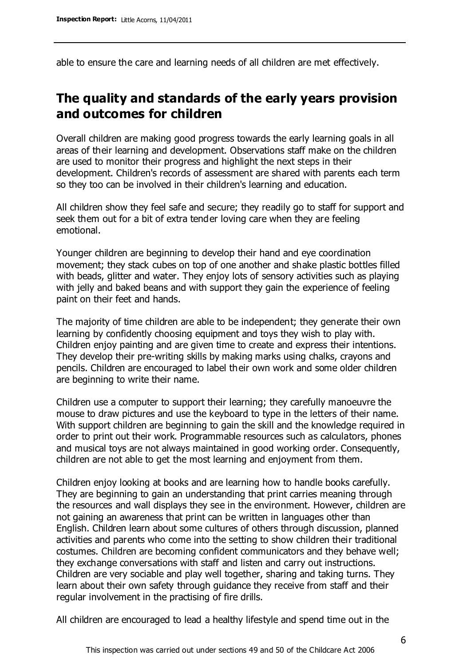able to ensure the care and learning needs of all children are met effectively.

# **The quality and standards of the early years provision and outcomes for children**

Overall children are making good progress towards the early learning goals in all areas of their learning and development. Observations staff make on the children are used to monitor their progress and highlight the next steps in their development. Children's records of assessment are shared with parents each term so they too can be involved in their children's learning and education.

All children show they feel safe and secure; they readily go to staff for support and seek them out for a bit of extra tender loving care when they are feeling emotional.

Younger children are beginning to develop their hand and eye coordination movement; they stack cubes on top of one another and shake plastic bottles filled with beads, glitter and water. They enjoy lots of sensory activities such as playing with jelly and baked beans and with support they gain the experience of feeling paint on their feet and hands.

The majority of time children are able to be independent; they generate their own learning by confidently choosing equipment and toys they wish to play with. Children enjoy painting and are given time to create and express their intentions. They develop their pre-writing skills by making marks using chalks, crayons and pencils. Children are encouraged to label their own work and some older children are beginning to write their name.

Children use a computer to support their learning; they carefully manoeuvre the mouse to draw pictures and use the keyboard to type in the letters of their name. With support children are beginning to gain the skill and the knowledge required in order to print out their work. Programmable resources such as calculators, phones and musical toys are not always maintained in good working order. Consequently, children are not able to get the most learning and enjoyment from them.

Children enjoy looking at books and are learning how to handle books carefully. They are beginning to gain an understanding that print carries meaning through the resources and wall displays they see in the environment. However, children are not gaining an awareness that print can be written in languages other than English. Children learn about some cultures of others through discussion, planned activities and parents who come into the setting to show children their traditional costumes. Children are becoming confident communicators and they behave well; they exchange conversations with staff and listen and carry out instructions. Children are very sociable and play well together, sharing and taking turns. They learn about their own safety through guidance they receive from staff and their regular involvement in the practising of fire drills.

All children are encouraged to lead a healthy lifestyle and spend time out in the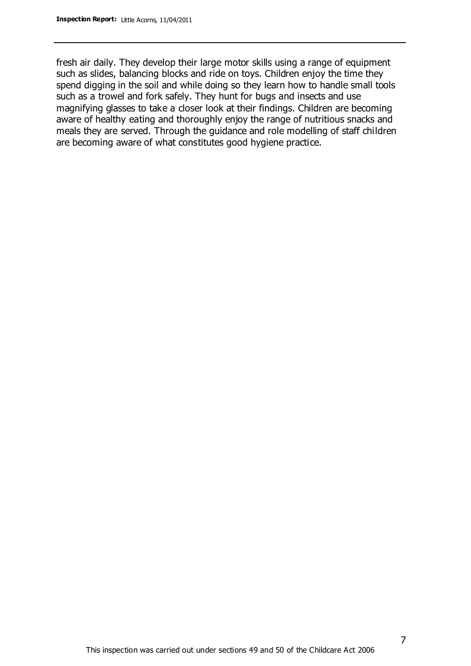fresh air daily. They develop their large motor skills using a range of equipment such as slides, balancing blocks and ride on toys. Children enjoy the time they spend digging in the soil and while doing so they learn how to handle small tools such as a trowel and fork safely. They hunt for bugs and insects and use magnifying glasses to take a closer look at their findings. Children are becoming aware of healthy eating and thoroughly enjoy the range of nutritious snacks and meals they are served. Through the guidance and role modelling of staff children are becoming aware of what constitutes good hygiene practice.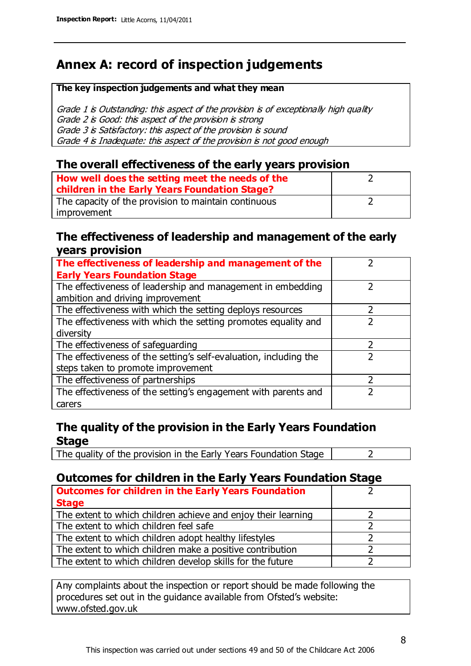# **Annex A: record of inspection judgements**

#### **The key inspection judgements and what they mean**

Grade 1 is Outstanding: this aspect of the provision is of exceptionally high quality Grade 2 is Good: this aspect of the provision is strong Grade 3 is Satisfactory: this aspect of the provision is sound Grade 4 is Inadequate: this aspect of the provision is not good enough

#### **The overall effectiveness of the early years provision**

| How well does the setting meet the needs of the<br>children in the Early Years Foundation Stage? |  |
|--------------------------------------------------------------------------------------------------|--|
| The capacity of the provision to maintain continuous                                             |  |
| improvement                                                                                      |  |

#### **The effectiveness of leadership and management of the early years provision**

| The effectiveness of leadership and management of the             |  |
|-------------------------------------------------------------------|--|
| <b>Early Years Foundation Stage</b>                               |  |
| The effectiveness of leadership and management in embedding       |  |
| ambition and driving improvement                                  |  |
| The effectiveness with which the setting deploys resources        |  |
| The effectiveness with which the setting promotes equality and    |  |
| diversity                                                         |  |
| The effectiveness of safeguarding                                 |  |
| The effectiveness of the setting's self-evaluation, including the |  |
| steps taken to promote improvement                                |  |
| The effectiveness of partnerships                                 |  |
| The effectiveness of the setting's engagement with parents and    |  |
| carers                                                            |  |

## **The quality of the provision in the Early Years Foundation Stage**

The quality of the provision in the Early Years Foundation Stage  $\vert$  2

## **Outcomes for children in the Early Years Foundation Stage**

| <b>Outcomes for children in the Early Years Foundation</b>    |  |
|---------------------------------------------------------------|--|
| <b>Stage</b>                                                  |  |
| The extent to which children achieve and enjoy their learning |  |
| The extent to which children feel safe                        |  |
| The extent to which children adopt healthy lifestyles         |  |
| The extent to which children make a positive contribution     |  |
| The extent to which children develop skills for the future    |  |

Any complaints about the inspection or report should be made following the procedures set out in the guidance available from Ofsted's website: www.ofsted.gov.uk